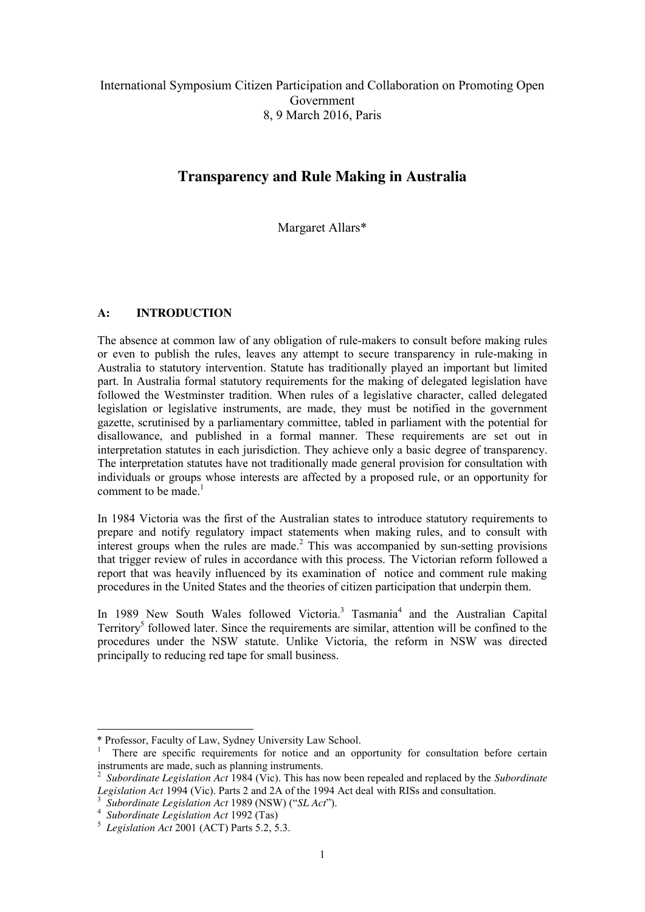## International Symposium Citizen Participation and Collaboration on Promoting Open Government 8, 9 March 2016, Paris

# **Transparency and Rule Making in Australia**

Margaret Allars\*

## **A: INTRODUCTION**

The absence at common law of any obligation of rule-makers to consult before making rules or even to publish the rules, leaves any attempt to secure transparency in rule-making in Australia to statutory intervention. Statute has traditionally played an important but limited part. In Australia formal statutory requirements for the making of delegated legislation have followed the Westminster tradition. When rules of a legislative character, called delegated legislation or legislative instruments, are made, they must be notified in the government gazette, scrutinised by a parliamentary committee, tabled in parliament with the potential for disallowance, and published in a formal manner. These requirements are set out in interpretation statutes in each jurisdiction. They achieve only a basic degree of transparency. The interpretation statutes have not traditionally made general provision for consultation with individuals or groups whose interests are affected by a proposed rule, or an opportunity for comment to be made.<sup>1</sup>

In 1984 Victoria was the first of the Australian states to introduce statutory requirements to prepare and notify regulatory impact statements when making rules, and to consult with interest groups when the rules are made.<sup>2</sup> This was accompanied by sun-setting provisions that trigger review of rules in accordance with this process. The Victorian reform followed a report that was heavily influenced by its examination of notice and comment rule making procedures in the United States and the theories of citizen participation that underpin them.

In 1989 New South Wales followed Victoria.<sup>3</sup> Tasmania<sup>4</sup> and the Australian Capital Territory<sup>5</sup> followed later. Since the requirements are similar, attention will be confined to the procedures under the NSW statute. Unlike Victoria, the reform in NSW was directed principally to reducing red tape for small business.

-

<sup>\*</sup> Professor, Faculty of Law, Sydney University Law School. <sup>1</sup>

<sup>&</sup>lt;sup>1</sup> There are specific requirements for notice and an opportunity for consultation before certain instruments are made, such as planning instruments.

<sup>2</sup> *Subordinate Legislation Act* 1984 (Vic). This has now been repealed and replaced by the *Subordinate*  Legislation Act 1994 (Vic). Parts 2 and 2A of the 1994 Act deal with RISs and consultation.

*Subordinate Legislation Act* 1989 (NSW) ("*SL Act*"). <sup>4</sup>

*Subordinate Legislation Act* 1992 (Tas) 5

*Legislation Act* 2001 (ACT) Parts 5.2, 5.3.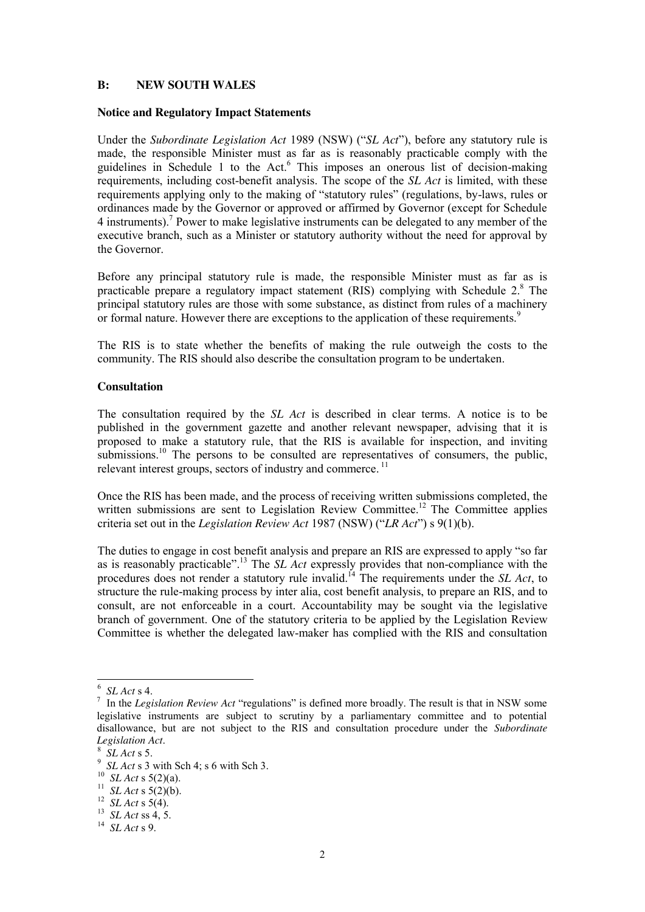#### **B: NEW SOUTH WALES**

#### **Notice and Regulatory Impact Statements**

Under the *Subordinate Legislation Act* 1989 (NSW) ("*SL Act*"), before any statutory rule is made, the responsible Minister must as far as is reasonably practicable comply with the guidelines in Schedule 1 to the Act. <sup>6</sup> This imposes an onerous list of decision-making requirements, including cost-benefit analysis. The scope of the *SL Act* is limited, with these requirements applying only to the making of "statutory rules" (regulations, by-laws, rules or ordinances made by the Governor or approved or affirmed by Governor (except for Schedule 4 instruments).7 Power to make legislative instruments can be delegated to any member of the executive branch, such as a Minister or statutory authority without the need for approval by the Governor.

Before any principal statutory rule is made, the responsible Minister must as far as is practicable prepare a regulatory impact statement (RIS) complying with Schedule 2. <sup>8</sup> The principal statutory rules are those with some substance, as distinct from rules of a machinery or formal nature. However there are exceptions to the application of these requirements.<sup>9</sup>

The RIS is to state whether the benefits of making the rule outweigh the costs to the community. The RIS should also describe the consultation program to be undertaken.

#### **Consultation**

The consultation required by the *SL Act* is described in clear terms. A notice is to be published in the government gazette and another relevant newspaper, advising that it is proposed to make a statutory rule, that the RIS is available for inspection, and inviting submissions.<sup>10</sup> The persons to be consulted are representatives of consumers, the public, relevant interest groups, sectors of industry and commerce.<sup>11</sup>

Once the RIS has been made, and the process of receiving written submissions completed, the written submissions are sent to Legislation Review Committee.<sup>12</sup> The Committee applies criteria set out in the *Legislation Review Act* 1987 (NSW) ("*LR Act*") s 9(1)(b).

The duties to engage in cost benefit analysis and prepare an RIS are expressed to apply "so far as is reasonably practicable". <sup>13</sup> The *SL Act* expressly provides that non-compliance with the procedures does not render a statutory rule invalid.<sup>14</sup> The requirements under the *SL Act*, to structure the rule-making process by inter alia, cost benefit analysis, to prepare an RIS, and to consult, are not enforceable in a court. Accountability may be sought via the legislative branch of government. One of the statutory criteria to be applied by the Legislation Review Committee is whether the delegated law-maker has complied with the RIS and consultation

 $\frac{1}{6}$  $6$  *SL Act* s 4.

<sup>&</sup>lt;sup>7</sup> In the *Legislation Review Act* "regulations" is defined more broadly. The result is that in NSW some legislative instruments are subject to scrutiny by a parliamentary committee and to potential disallowance, but are not subject to the RIS and consultation procedure under the *Subordinate Legislation Act.*<br><sup>8</sup> *SL Act* s 5.

 $\frac{S}{9}$  *SL Act* s 5.

*SL Act* s 3 with Sch 4; s 6 with Sch 3. <sup>10</sup>*SL Act* s 5(2)(a). <sup>11</sup>*SL Act* s 5(2)(b). <sup>12</sup>*SL Act* s 5(4). <sup>13</sup>*SL Act* ss 4, 5. <sup>14</sup>*SL Act* s 9.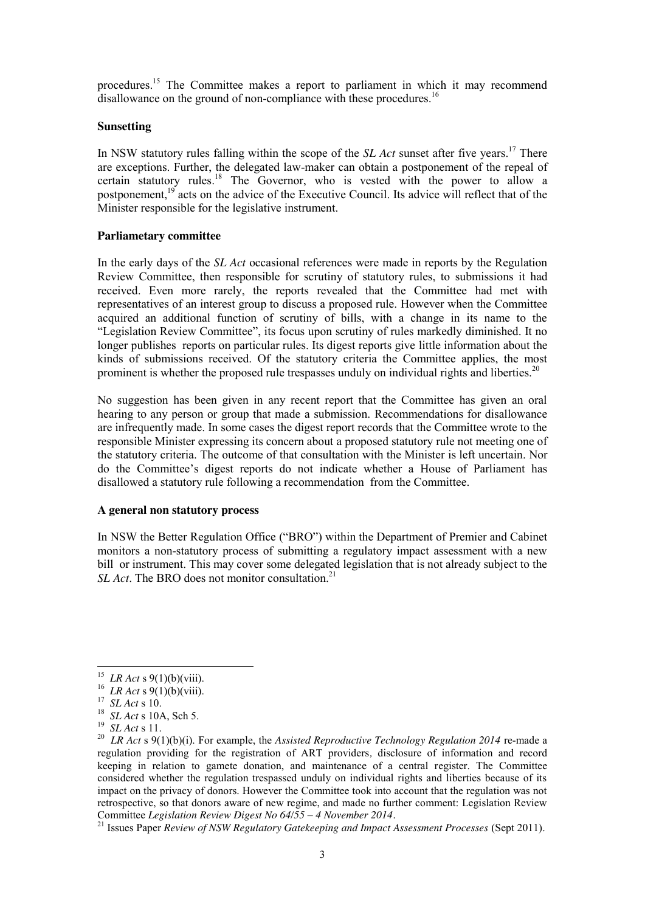procedures.15 The Committee makes a report to parliament in which it may recommend disallowance on the ground of non-compliance with these procedures.<sup>16</sup>

#### **Sunsetting**

In NSW statutory rules falling within the scope of the *SL Act* sunset after five years. <sup>17</sup> There are exceptions. Further, the delegated law-maker can obtain a postponement of the repeal of certain statutory rules. <sup>18</sup> The Governor, who is vested with the power to allow a postponement,<sup>19</sup> acts on the advice of the Executive Council. Its advice will reflect that of the Minister responsible for the legislative instrument.

## **Parliametary committee**

In the early days of the *SL Act* occasional references were made in reports by the Regulation Review Committee, then responsible for scrutiny of statutory rules, to submissions it had received. Even more rarely, the reports revealed that the Committee had met with representatives of an interest group to discuss a proposed rule. However when the Committee acquired an additional function of scrutiny of bills, with a change in its name to the "Legislation Review Committee", its focus upon scrutiny of rules markedly diminished. It no longer publishes reports on particular rules. Its digest reports give little information about the kinds of submissions received. Of the statutory criteria the Committee applies, the most prominent is whether the proposed rule trespasses unduly on individual rights and liberties.<sup>20</sup>

No suggestion has been given in any recent report that the Committee has given an oral hearing to any person or group that made a submission. Recommendations for disallowance are infrequently made. In some cases the digest report records that the Committee wrote to the responsible Minister expressing its concern about a proposed statutory rule not meeting one of the statutory criteria. The outcome of that consultation with the Minister is left uncertain. Nor do the Committee's digest reports do not indicate whether a House of Parliament has disallowed a statutory rule following a recommendation from the Committee.

## **A general non statutory process**

In NSW the Better Regulation Office ("BRO") within the Department of Premier and Cabinet monitors a non-statutory process of submitting a regulatory impact assessment with a new bill or instrument. This may cover some delegated legislation that is not already subject to the *SL Act*. The BRO does not monitor consultation.<sup>21</sup>

<sup>21</sup> Issues Paper *Review of NSW Regulatory Gatekeeping and Impact Assessment Processes (Sept 2011).* 

<sup>&</sup>lt;sup>15</sup> LR Act s 9(1)(b)(viii).<br><sup>16</sup> LR Act s 9(1)(b)(viii).<br><sup>17</sup> SL Act s 10.<br><sup>18</sup> SL Act s 10A, Sch 5.<br><sup>19</sup> SL Act s 11.<br><sup>20</sup> LR Act s 9(1)(b)(i). For example, the Assisted Reproductive Technology Regulation 2014 re-made a regulation providing for the registration of ART providers*,* disclosure of information and record keeping in relation to gamete donation, and maintenance of a central register. The Committee considered whether the regulation trespassed unduly on individual rights and liberties because of its impact on the privacy of donors. However the Committee took into account that the regulation was not retrospective, so that donors aware of new regime, and made no further comment: Legislation Review Committee Legislation Review Digest No 64/55 – 4 November 2014.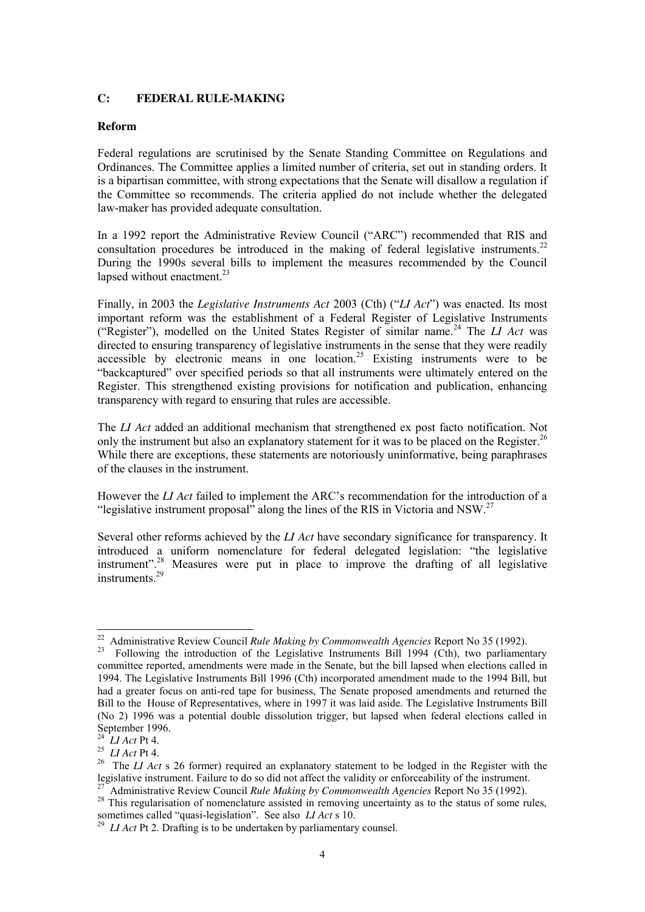## **C: FEDERAL RULE-MAKING**

## **Reform**

Federal regulations are scrutinised by the Senate Standing Committee on Regulations and Ordinances. The Committee applies a limited number of criteria, set out in standing orders. It is a bipartisan committee, with strong expectations that the Senate will disallow a regulation if the Committee so recommends. The criteria applied do not include whether the delegated law-maker has provided adequate consultation.

In a 1992 report the Administrative Review Council ("ARC") recommended that RIS and consultation procedures be introduced in the making of federal legislative instruments.<sup>22</sup> During the 1990s several bills to implement the measures recommended by the Council lapsed without enactment.<sup>23</sup>

Finally, in 2003 the *Legislative Instruments Act* 2003 (Cth) ("*LI Act*") was enacted. Its most important reform was the establishment of a Federal Register of Legislative Instruments ("Register"), modelled on the United States Register of similar name.<sup>24</sup> The *LI Act* was directed to ensuring transparency of legislative instruments in the sense that they were readily  $\alpha$  accessible by electronic means in one location.<sup>25</sup> Existing instruments were to be "backcaptured" over specified periods so that all instruments were ultimately entered on the Register. This strengthened existing provisions for notification and publication, enhancing transparency with regard to ensuring that rules are accessible.

The *LI Act* added an additional mechanism that strengthened ex post facto notification. Not only the instrument but also an explanatory statement for it was to be placed on the Register.<sup>26</sup> While there are exceptions, these statements are notoriously uninformative, being paraphrases of the clauses in the instrument.

However the *LI Act* failed to implement the ARC's recommendation for the introduction of a "legislative instrument proposal" along the lines of the RIS in Victoria and NSW.<sup>27</sup>

Several other reforms achieved by the *LI Act* have secondary significance for transparency. It introduced a uniform nomenclature for federal delegated legislation: "the legislative instrument". <sup>28</sup> Measures were put in place to improve the drafting of all legislative instruments. 29

<sup>&</sup>lt;sup>22</sup> Administrative Review Council *Rule Making by Commonwealth Agencies* Report No 35 (1992).<br><sup>23</sup> Following the introduction of the Legislative Instruments Bill 1994 (Cth), two parliamentary committee reported, amendments were made in the Senate, but the bill lapsed when elections called in 1994. The Legislative Instruments Bill 1996 (Cth) incorporated amendment made to the 1994 Bill, but had a greater focus on anti-red tape for business, The Senate proposed amendments and returned the Bill to the House of Representatives, where in 1997 it was laid aside. The Legislative Instruments Bill (No 2) 1996 was a potential double dissolution trigger, but lapsed when federal elections called in September 1996.<br> $^{24}$  *LI Act* Pt 4.

<sup>&</sup>lt;sup>25</sup> *LI Act* Pt 4. <sup>26</sup><br><sup>25</sup> *LI Act* Pt 4. <sup>26</sup> The *LI Act* s 26 former) required an explanatory statement to be lodged in the Register with the legislative instrument. Failure to do so did not affect the validity or en

<sup>&</sup>lt;sup>27</sup> Administrative Review Council *Rule Making by Commonwealth Agencies* Report No 35 (1992).<br><sup>28</sup> This regularisation of nomenclature assisted in removing uncertainty as to the status of some rules, sometimes called "qu

<sup>&</sup>lt;sup>29</sup> *LI Act* Pt 2. Drafting is to be undertaken by parliamentary counsel.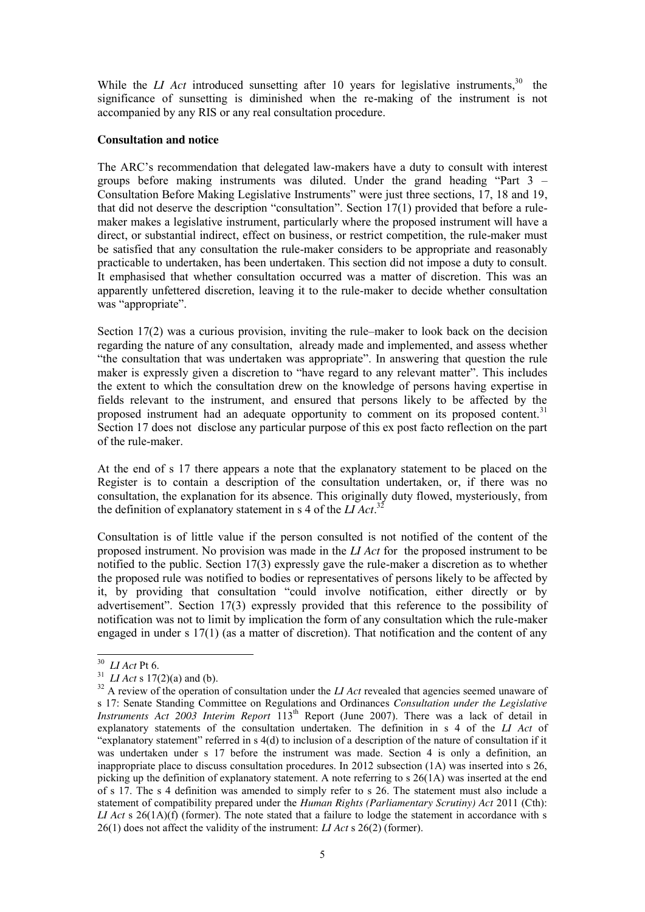While the *LI Act* introduced sunsetting after 10 years for legislative instruments,<sup>30</sup> the significance of sunsetting is diminished when the re-making of the instrument is not accompanied by any RIS or any real consultation procedure.

#### **Consultation and notice**

The ARC's recommendation that delegated law-makers have a duty to consult with interest groups before making instruments was diluted. Under the grand heading "Part 3 – Consultation Before Making Legislative Instruments" were just three sections, 17, 18 and 19, that did not deserve the description "consultation". Section 17(1) provided that before a rulemaker makes a legislative instrument, particularly where the proposed instrument will have a direct, or substantial indirect, effect on business, or restrict competition, the rule-maker must be satisfied that any consultation the rule-maker considers to be appropriate and reasonably practicable to undertaken, has been undertaken. This section did not impose a duty to consult. It emphasised that whether consultation occurred was a matter of discretion. This was an apparently unfettered discretion, leaving it to the rule-maker to decide whether consultation was "appropriate".

Section 17(2) was a curious provision, inviting the rule–maker to look back on the decision regarding the nature of any consultation, already made and implemented, and assess whether "the consultation that was undertaken was appropriate". In answering that question the rule maker is expressly given a discretion to "have regard to any relevant matter". This includes the extent to which the consultation drew on the knowledge of persons having expertise in fields relevant to the instrument, and ensured that persons likely to be affected by the proposed instrument had an adequate opportunity to comment on its proposed content.<sup>31</sup> Section 17 does not disclose any particular purpose of this ex post facto reflection on the part of the rule-maker.

At the end of s 17 there appears a note that the explanatory statement to be placed on the Register is to contain a description of the consultation undertaken, or, if there was no consultation, the explanation for its absence. This originally duty flowed, mysteriously, from the definition of explanatory statement in s 4 of the *LI Act*. 32

Consultation is of little value if the person consulted is not notified of the content of the proposed instrument. No provision was made in the *LI Act* for the proposed instrument to be notified to the public. Section 17(3) expressly gave the rule-maker a discretion as to whether the proposed rule was notified to bodies or representatives of persons likely to be affected by it, by providing that consultation "could involve notification, either directly or by advertisement". Section 17(3) expressly provided that this reference to the possibility of notification was not to limit by implication the form of any consultation which the rule-maker engaged in under s 17(1) (as a matter of discretion). That notification and the content of any

<sup>&</sup>lt;sup>30</sup> *LI Act* Pt 6.<br><sup>31</sup> *LI Act* s 17(2)(a) and (b).<br><sup>32</sup> A review of the operation of consultation under the *LI Act* revealed that agencies seemed unaware of s 17: Senate Standing Committee on Regulations and Ordinances *Consultation under the Legislative*  Instruments Act 2003 Interim Report 113<sup>th</sup> Report (June 2007). There was a lack of detail in explanatory statements of the consultation undertaken. The definition in s 4 of the *LI Act* of "explanatory statement" referred in s 4(d) to inclusion of a description of the nature of consultation if it was undertaken under s 17 before the instrument was made. Section 4 is only a definition, an inappropriate place to discuss consultation procedures. In 2012 subsection (1A) was inserted into s 26, picking up the definition of explanatory statement. A note referring to s 26(1A) was inserted at the end of s 17. The s 4 definition was amended to simply refer to s 26. The statement must also include a statement of compatibility prepared under the *Human Rights (Parliamentary Scrutiny) Act* 2011 (Cth): *LI Act* s 26(1A)(f) (former). The note stated that a failure to lodge the statement in accordance with s 26(1) does not affect the validity of the instrument: *LI Act* s 26(2) (former).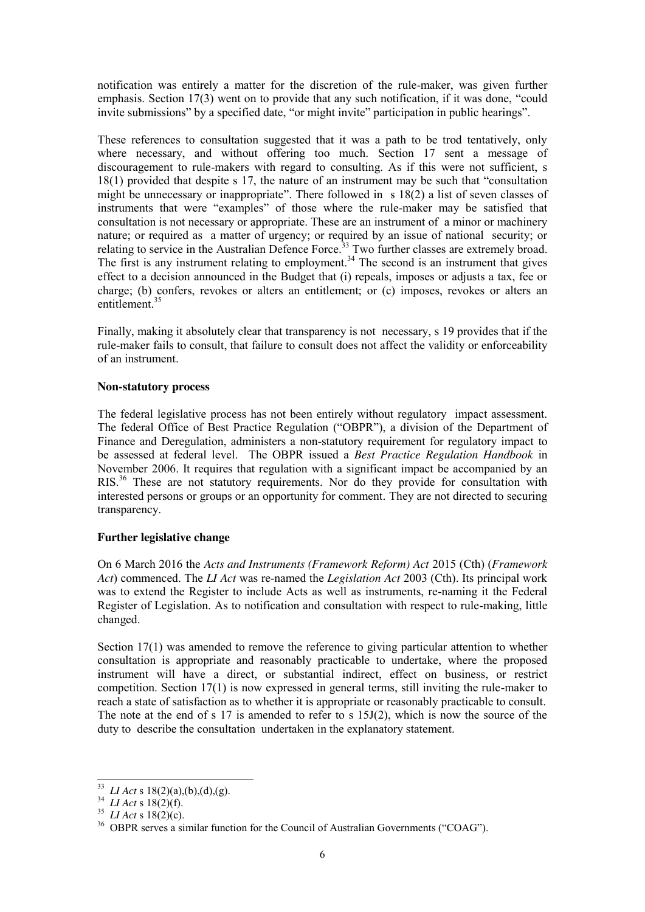notification was entirely a matter for the discretion of the rule-maker, was given further emphasis. Section 17(3) went on to provide that any such notification, if it was done, "could invite submissions" by a specified date, "or might invite" participation in public hearings".

These references to consultation suggested that it was a path to be trod tentatively, only where necessary, and without offering too much. Section 17 sent a message of discouragement to rule-makers with regard to consulting. As if this were not sufficient, s 18(1) provided that despite s 17, the nature of an instrument may be such that "consultation might be unnecessary or inappropriate". There followed in s 18(2) a list of seven classes of instruments that were "examples" of those where the rule-maker may be satisfied that consultation is not necessary or appropriate. These are an instrument of a minor or machinery nature; or required as a matter of urgency; or required by an issue of national security; or relating to service in the Australian Defence Force.<sup>33</sup> Two further classes are extremely broad. The first is any instrument relating to employment.<sup>34</sup> The second is an instrument that gives effect to a decision announced in the Budget that (i) repeals, imposes or adjusts a tax, fee or charge; (b) confers, revokes or alters an entitlement; or (c) imposes, revokes or alters an entitlement. 35

Finally, making it absolutely clear that transparency is not necessary, s 19 provides that if the rule-maker fails to consult, that failure to consult does not affect the validity or enforceability of an instrument.

## **Non-statutory process**

The federal legislative process has not been entirely without regulatory impact assessment. The federal Office of Best Practice Regulation ("OBPR"), a division of the Department of Finance and Deregulation, administers a non-statutory requirement for regulatory impact to be assessed at federal level. The OBPR issued a *Best Practice Regulation Handbook* in November 2006. It requires that regulation with a significant impact be accompanied by an RIS.<sup>36</sup> These are not statutory requirements. Nor do they provide for consultation with interested persons or groups or an opportunity for comment. They are not directed to securing transparency.

## **Further legislative change**

On 6 March 2016 the *Acts and Instruments (Framework Reform) Act* 2015 (Cth) (*Framework Act*) commenced. The *LI Act* was re-named the *Legislation Act* 2003 (Cth). Its principal work was to extend the Register to include Acts as well as instruments, re-naming it the Federal Register of Legislation. As to notification and consultation with respect to rule-making, little changed.

Section 17(1) was amended to remove the reference to giving particular attention to whether consultation is appropriate and reasonably practicable to undertake, where the proposed instrument will have a direct, or substantial indirect, effect on business, or restrict competition. Section 17(1) is now expressed in general terms, still inviting the rule-maker to reach a state of satisfaction as to whether it is appropriate or reasonably practicable to consult. The note at the end of s 17 is amended to refer to s 15J(2), which is now the source of the duty to describe the consultation undertaken in the explanatory statement.

<sup>&</sup>lt;sup>33</sup> *LI Act* s 18(2)(a),(b),(d),(g).<br><sup>34</sup> *LI Act* s 18(2)(f).<br><sup>35</sup> *LI Act* s 18(2)(c).<br><sup>36</sup> OBPR serves a similar function for the Council of Australian Governments ("COAG").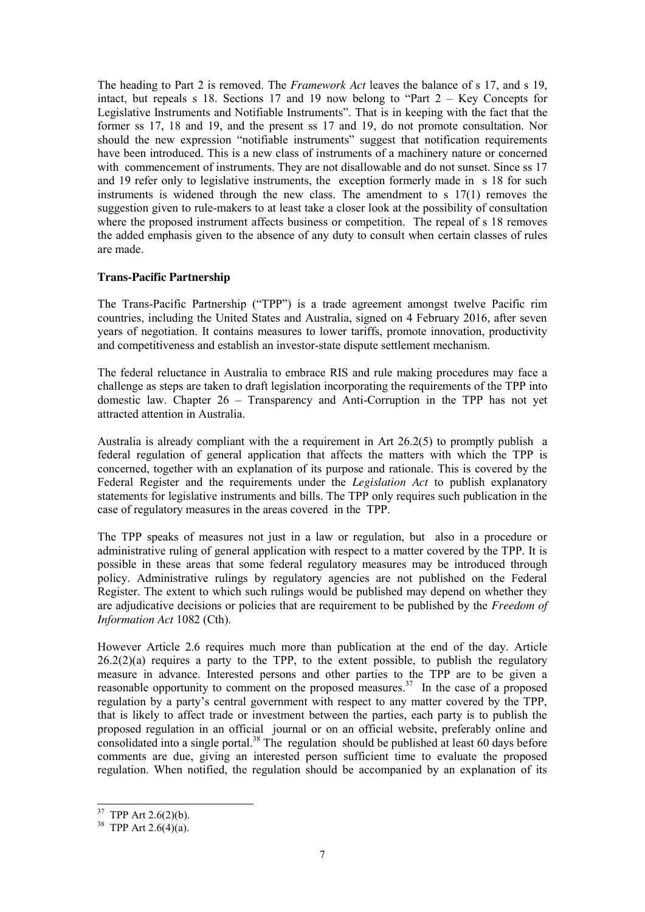The heading to Part 2 is removed. The *Framework Act* leaves the balance of s 17, and s 19, intact, but repeals s 18. Sections 17 and 19 now belong to "Part  $2 -$  Key Concepts for Legislative Instruments and Notifiable Instruments". That is in keeping with the fact that the former ss 17, 18 and 19, and the present ss 17 and 19, do not promote consultation. Nor should the new expression "notifiable instruments" suggest that notification requirements have been introduced. This is a new class of instruments of a machinery nature or concerned with commencement of instruments. They are not disallowable and do not sunset. Since ss 17 and 19 refer only to legislative instruments, the exception formerly made in s 18 for such instruments is widened through the new class. The amendment to s 17(1) removes the suggestion given to rule-makers to at least take a closer look at the possibility of consultation where the proposed instrument affects business or competition. The repeal of s 18 removes the added emphasis given to the absence of any duty to consult when certain classes of rules are made.

## **Trans-Pacific Partnership**

The Trans-Pacific Partnership ("TPP") is a trade agreement amongst twelve Pacific rim countries, including the United States and Australia, signed on 4 February 2016, after seven years of negotiation. It contains measures to lower tariffs, promote innovation, productivity and competitiveness and establish an investor-state dispute settlement mechanism.

The federal reluctance in Australia to embrace RIS and rule making procedures may face a challenge as steps are taken to draft legislation incorporating the requirements of the TPP into domestic law. Chapter 26 – Transparency and Anti-Corruption in the TPP has not yet attracted attention in Australia.

Australia is already compliant with the a requirement in Art 26.2(5) to promptly publish a federal regulation of general application that affects the matters with which the TPP is concerned, together with an explanation of its purpose and rationale. This is covered by the Federal Register and the requirements under the *Legislation Act* to publish explanatory statements for legislative instruments and bills. The TPP only requires such publication in the case of regulatory measures in the areas covered in the TPP.

The TPP speaks of measures not just in a law or regulation, but also in a procedure or administrative ruling of general application with respect to a matter covered by the TPP. It is possible in these areas that some federal regulatory measures may be introduced through policy. Administrative rulings by regulatory agencies are not published on the Federal Register. The extent to which such rulings would be published may depend on whether they are adjudicative decisions or policies that are requirement to be published by the *Freedom of Information Act* 1082 (Cth).

However Article 2.6 requires much more than publication at the end of the day. Article  $26.2(2)(a)$  requires a party to the TPP, to the extent possible, to publish the regulatory measure in advance. Interested persons and other parties to the TPP are to be given a reasonable opportunity to comment on the proposed measures.<sup>37</sup> In the case of a proposed regulation by a party's central government with respect to any matter covered by the TPP, that is likely to affect trade or investment between the parties, each party is to publish the proposed regulation in an official journal or on an official website, preferably online and consolidated into a single portal.<sup>38</sup> The regulation should be published at least 60 days before comments are due, giving an interested person sufficient time to evaluate the proposed regulation. When notified, the regulation should be accompanied by an explanation of its

<sup>&</sup>lt;sup>37</sup> TPP Art 2.6(2)(b).<br><sup>38</sup> TPP Art 2.6(4)(a).